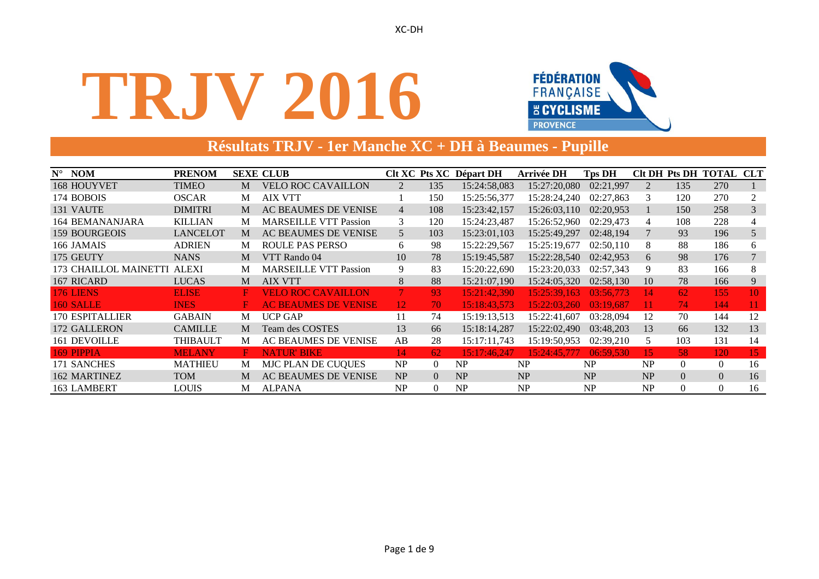

### **Résultats TRJV - 1er Manche XC + DH à Beaumes - Pupille**

| $N^{\circ}$ NOM             | <b>PRENOM</b>   |    | <b>SEXE CLUB</b>             |                |          | Clt XC Pts XC Départ DH | Arrivée DH    | <b>Tps DH</b> |                |          | CIt DH Pts DH TOTAL CLT |    |
|-----------------------------|-----------------|----|------------------------------|----------------|----------|-------------------------|---------------|---------------|----------------|----------|-------------------------|----|
| 168 HOUYVET                 | <b>TIMEO</b>    | M  | <b>VELO ROC CAVAILLON</b>    | 2              | 135      | 15:24:58,083            | 15:27:20,080  | 02:21,997     | $\mathcal{L}$  | 135      | 270                     |    |
| 174 BOBOIS                  | <b>OSCAR</b>    | M  | <b>AIX VTT</b>               |                | 150      | 15:25:56,377            | 15:28:24.240  | 02:27.863     | 3              | 120      | 270                     |    |
| 131 VAUTE                   | <b>DIMITRI</b>  | M  | AC BEAUMES DE VENISE         | $\overline{4}$ | 108      | 15:23:42,157            | 15:26:03,110  | 02:20,953     |                | 150      | 258                     | 3  |
| 164 BEMANANJARA             | <b>KILLIAN</b>  | M  | <b>MARSEILLE VTT Passion</b> | 3              | 120      | 15:24:23,487            | 15:26:52.960  | 02:29.473     | $\overline{4}$ | 108      | 228                     | 4  |
| 159 BOURGEOIS               | <b>LANCELOT</b> | M  | AC BEAUMES DE VENISE         | 5              | 103      | 15:23:01,103            | 15:25:49,297  | 02:48.194     |                | 93       | 196                     | 5  |
| 166 JAMAIS                  | <b>ADRIEN</b>   | M  | ROULE PAS PERSO              | 6              | 98       | 15:22:29,567            | 15:25:19,677  | 02:50,110     | 8              | 88       | 186                     | 6  |
| 175 GEUTY                   | <b>NANS</b>     | M  | VTT Rando 04                 | 10             | 78       | 15:19:45,587            | 15:22:28,540  | 02:42.953     | 6              | 98       | 176                     |    |
| 173 CHAILLOL MAINETTI ALEXI |                 | M  | <b>MARSEILLE VTT Passion</b> | 9              | 83       | 15:20:22,690            | 15:23:20,033  | 02:57.343     | 9              | 83       | 166                     | 8  |
| 167 RICARD                  | <b>LUCAS</b>    | M  | <b>AIX VTT</b>               | 8              | 88       | 15:21:07.190            | 15:24:05,320  | 02:58.130     | 10             | 78       | 166                     | 9  |
| 176 LIENS                   | <b>ELISE</b>    | F. | <b>VELO ROC CAVAILLON</b>    |                | 93       | 15:21:42.390            | 15:25:39.163' | 03:56,773     | 14             | 62       | 155                     | 10 |
| 160 SALLE                   | <b>INES</b>     | н. | <b>AC BEAUMES DE VENISE</b>  | 12             | 70       | 15:18:43.573            | 15:22:03.260  | 03:19.687     | 11             | 74       | 144                     | 11 |
| 170 ESPITALLIER             | <b>GABAIN</b>   | M  | UCP GAP                      | 11             | 74       | 15:19:13.513            | 15:22:41.607  | 03:28.094     | 12             | 70       | 144                     | 12 |
| 172 GALLERON                | <b>CAMILLE</b>  | M  | Team des COSTES              | 13             | 66       | 15:18:14,287            | 15:22:02,490  | 03:48,203     | 13             | 66       | 132                     | 13 |
| 161 DEVOILLE                | <b>THIBAULT</b> | M  | AC BEAUMES DE VENISE         | AB             | 28       | 15:17:11,743            | 15:19:50,953  | 02:39,210     | 5              | 103      | 131                     | 14 |
| 169 PIPPIA                  | <b>MELANY</b>   | F. | <b>NATUR' BIKE</b>           | 14             | 62       | 15:17:46.247            | 15:24:45,777  | 06:59.530     | 15.            | 58       | 120                     | 15 |
| 171 SANCHES                 | <b>MATHIEU</b>  | M  | <b>MJC PLAN DE CUQUES</b>    | NP             | $\Omega$ | <b>NP</b>               | <b>NP</b>     | <b>NP</b>     | <b>NP</b>      | $\Omega$ | $\Omega$                | 16 |
| 162 MARTINEZ                | <b>TOM</b>      | M  | AC BEAUMES DE VENISE         | NP             | $\Omega$ | <b>NP</b>               | NP            | <b>NP</b>     | <b>NP</b>      | $\Omega$ | $\Omega$                | 16 |
| 163 LAMBERT                 | <b>LOUIS</b>    | M  | <b>ALPANA</b>                | NP             | $\Omega$ | <b>NP</b>               | <b>NP</b>     | <b>NP</b>     | <b>NP</b>      | 0        | $\Omega$                | 16 |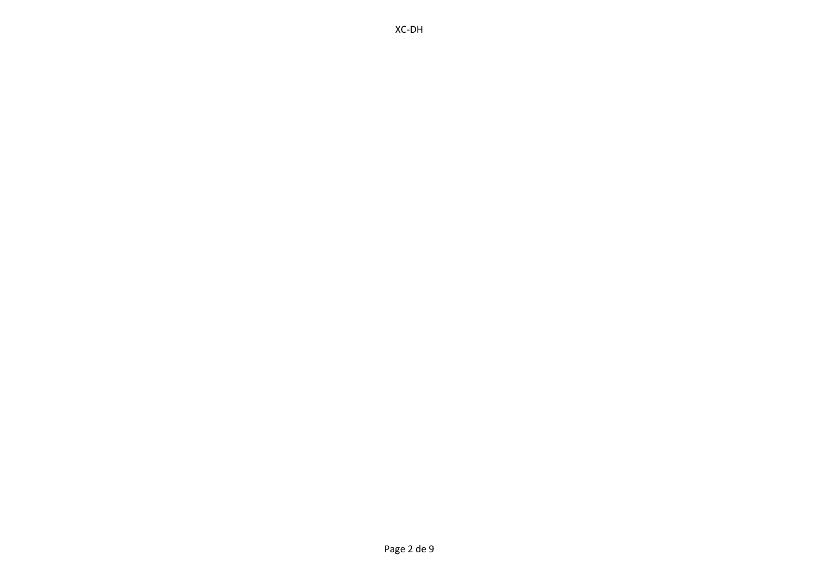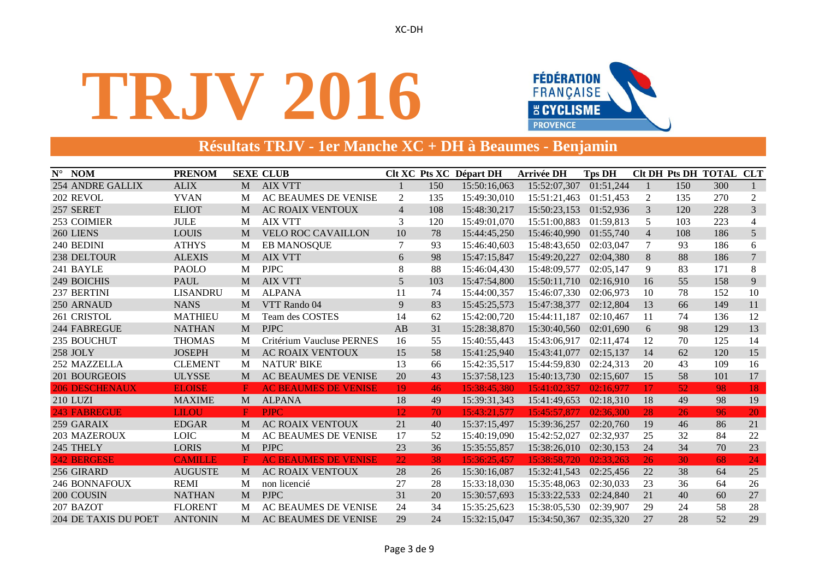

### **Résultats TRJV - 1er Manche XC + DH à Beaumes - Benjamin**

| $N^{\circ}$ NOM         | <b>PRENOM</b>   |              | <b>SEXE CLUB</b>            |                |     | Clt XC Pts XC Départ DH | Arrivée DH             | <b>Tps DH</b> |                |     | CIt DH Pts DH TOTAL CLT |                |
|-------------------------|-----------------|--------------|-----------------------------|----------------|-----|-------------------------|------------------------|---------------|----------------|-----|-------------------------|----------------|
| <b>254 ANDRE GALLIX</b> | <b>ALIX</b>     | M            | <b>AIX VTT</b>              |                | 150 | 15:50:16,063            | 15:52:07,307           | 01:51,244     | $\mathbf{1}$   | 150 | 300                     |                |
| 202 REVOL               | <b>YVAN</b>     | M            | AC BEAUMES DE VENISE        | 2              | 135 | 15:49:30.010            | 15:51:21,463           | 01:51,453     | 2              | 135 | 270                     | 2              |
| 257 SERET               | <b>ELIOT</b>    | M            | <b>AC ROAIX VENTOUX</b>     | $\overline{4}$ | 108 | 15:48:30,217            | 15:50:23,153           | 01:52.936     | 3              | 120 | 228                     | 3              |
| 253 COIMIER             | <b>JULE</b>     | M            | <b>AIX VTT</b>              | 3              | 120 | 15:49:01,070            | 15:51:00,883           | 01:59.813     | 5              | 103 | 223                     | $\overline{4}$ |
| 260 LIENS               | <b>LOUIS</b>    | M            | <b>VELO ROC CAVAILLON</b>   | 10             | 78  | 15:44:45,250            | 15:46:40,990           | 01:55,740     | $\overline{4}$ | 108 | 186                     | 5              |
| 240 BEDINI              | <b>ATHYS</b>    | M            | <b>EB MANOSQUE</b>          | 7              | 93  | 15:46:40,603            | 15:48:43,650           | 02:03,047     | $\tau$         | 93  | 186                     | 6              |
| 238 DELTOUR             | <b>ALEXIS</b>   | M            | <b>AIX VTT</b>              | 6              | 98  | 15:47:15,847            | 15:49:20,227 02:04,380 |               | 8              | 88  | 186                     | $\overline{7}$ |
| 241 BAYLE               | <b>PAOLO</b>    | M            | <b>PJPC</b>                 | 8              | 88  | 15:46:04,430            | 15:48:09,577           | 02:05,147     | 9              | 83  | 171                     | 8              |
| 249 BOICHIS             | <b>PAUL</b>     | $\mathbf{M}$ | <b>AIX VTT</b>              | 5              | 103 | 15:47:54,800            | 15:50:11,710 02:16,910 |               | 16             | 55  | 158                     | 9              |
| 237 BERTINI             | <b>LISANDRU</b> | M            | <b>ALPANA</b>               | 11             | 74  | 15:44:00,357            | 15:46:07,330           | 02:06.973     | 10             | 78  | 152                     | 10             |
| 250 ARNAUD              | <b>NANS</b>     | M            | VTT Rando 04                | 9              | 83  | 15:45:25,573            | 15:47:38,377 02:12,804 |               | 13             | 66  | 149                     | 11             |
| 261 CRISTOL             | <b>MATHIEU</b>  | M            | Team des COSTES             | 14             | 62  | 15:42:00,720            | 15:44:11,187           | 02:10.467     | 11             | 74  | 136                     | 12             |
| 244 FABREGUE            | <b>NATHAN</b>   | M            | <b>PJPC</b>                 | AB             | 31  | 15:28:38,870            | 15:30:40,560 02:01,690 |               | 6              | 98  | 129                     | 13             |
| 235 BOUCHUT             | <b>THOMAS</b>   | M            | Critérium Vaucluse PERNES   | 16             | 55  | 15:40:55,443            | 15:43:06,917           | 02:11,474     | 12             | 70  | 125                     | 14             |
| 258 JOLY                | <b>JOSEPH</b>   | M            | <b>AC ROAIX VENTOUX</b>     | 15             | 58  | 15:41:25,940            | 15:43:41,077 02:15,137 |               | 14             | 62  | 120                     | 15             |
| 252 MAZZELLA            | <b>CLEMENT</b>  | M            | <b>NATUR' BIKE</b>          | 13             | 66  | 15:42:35,517            | 15:44:59,830           | 02:24,313     | 20             | 43  | 109                     | 16             |
| 201 BOURGEOIS           | <b>ULYSSE</b>   | M            | AC BEAUMES DE VENISE        | 20             | 43  | 15:37:58,123            | 15:40:13,730           | 02:15,607     | 15             | 58  | 101                     | 17             |
| <b>206 DESCHENAUX</b>   | <b>ELOISE</b>   | F            | <b>AC BEAUMES DE VENISE</b> | 19             | 46  | 15:38:45,380            | 15:41:02.357           | 02:16.977     | 17             | 52  | 98                      | 18             |
| <b>210 LUZI</b>         | <b>MAXIME</b>   | M            | ALPANA                      | 18             | 49  | 15:39:31,343            | 15:41:49,653           | 02:18,310     | 18             | 49  | 98                      | 19             |
| <b>243 FABREGUE</b>     | <b>LILOU</b>    | F.           | <b>PJPC</b>                 | 12             | 70  | 15:43:21,577            | 15:45:57,877           | 02:36,300     | 28             | 26  | 96                      | 20             |
| 259 GARAIX              | <b>EDGAR</b>    | M            | <b>AC ROAIX VENTOUX</b>     | 21             | 40  | 15:37:15,497            | 15:39:36,257 02:20,760 |               | 19             | 46  | 86                      | 21             |
| 203 MAZEROUX            | <b>LOIC</b>     | M            | AC BEAUMES DE VENISE        | 17             | 52  | 15:40:19,090            | 15:42:52,027           | 02:32,937     | 25             | 32  | 84                      | 22             |
| 245 THELY               | <b>LORIS</b>    | $\mathbf{M}$ | <b>PJPC</b>                 | 23             | 36  | 15:35:55,857            | 15:38:26,010           | 02:30,153     | 24             | 34  | 70                      | 23             |
| 242 BERGESE             | <b>CAMILLE</b>  | $\mathbf F$  | <b>AC BEAUMES DE VENISE</b> | 22             | 38  | 15:36:25,457            | 15:38:58,720           | 02:33,263     | 26             | 30  | 68                      | 24             |
| 256 GIRARD              | <b>AUGUSTE</b>  | M            | <b>AC ROAIX VENTOUX</b>     | 28             | 26  | 15:30:16,087            | 15:32:41,543           | 02:25,456     | 22             | 38  | 64                      | 25             |
| 246 BONNAFOUX           | <b>REMI</b>     | M            | non licencié                | 27             | 28  | 15:33:18,030            | 15:35:48,063           | 02:30.033     | 23             | 36  | 64                      | 26             |
| 200 COUSIN              | <b>NATHAN</b>   | M            | <b>PJPC</b>                 | 31             | 20  | 15:30:57,693            | 15:33:22,533           | 02:24,840     | 21             | 40  | 60                      | 27             |
| 207 BAZOT               | <b>FLORENT</b>  | M            | AC BEAUMES DE VENISE        | 24             | 34  | 15:35:25,623            | 15:38:05,530           | 02:39,907     | 29             | 24  | 58                      | 28             |
| 204 DE TAXIS DU POET    | <b>ANTONIN</b>  | M            | AC BEAUMES DE VENISE        | 29             | 24  | 15:32:15,047            | 15:34:50,367 02:35,320 |               | 27             | 28  | 52                      | 29             |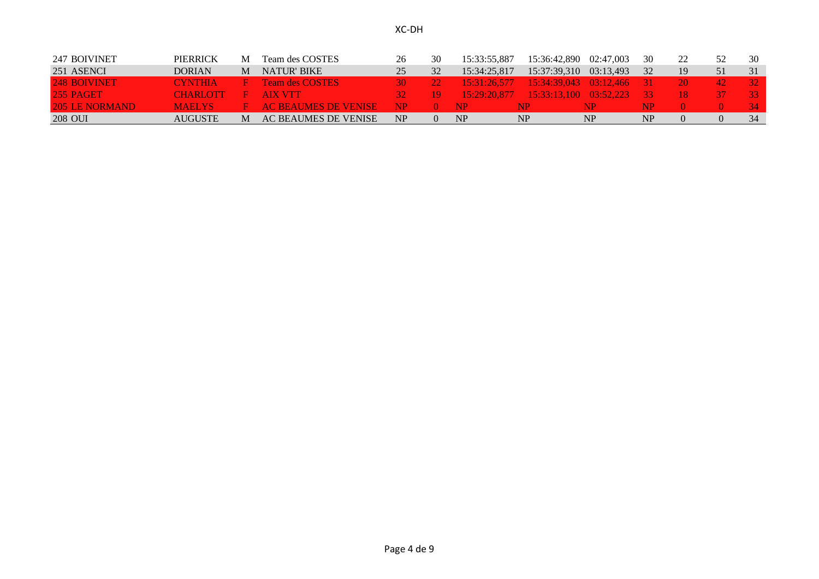| 247 BOIVINET   | PIERRICK       | М        | Team des COSTES        | 26        |   | 15:33:55.887 | 15:36:42,890 02:47,003 |    | 30 | 22  | 52 | 30 |
|----------------|----------------|----------|------------------------|-----------|---|--------------|------------------------|----|----|-----|----|----|
| 251 ASENCI     | <b>DORIAN</b>  | M        | NATUR' BIKE            |           |   | 15:34:25.817 | 15:37:39.310 03:13.493 |    |    | 19  |    |    |
| 248 BOIVINET   | <b>CYNTHIA</b> | <b>H</b> | <b>Team des COSTES</b> |           |   | 15:31:26.577 | 15:34:39,043 03:12.466 |    |    | 20. |    |    |
| $255$ PAGET    | CHARI OTT      |          | AIX VTT                |           |   | 15:29:20.877 | 15:33:13.100 03:52.223 |    |    |     |    |    |
| 205 LE NORMAND | <b>MAELYS</b>  |          | AC REALMES DE VENISE   |           |   |              |                        |    |    |     |    |    |
| 208 OUI        | <b>AUGUSTE</b> | M        | AC BEAUMES DE VENISE   | <b>NP</b> | 0 | <b>NP</b>    | NP                     | NP | NP |     |    | 34 |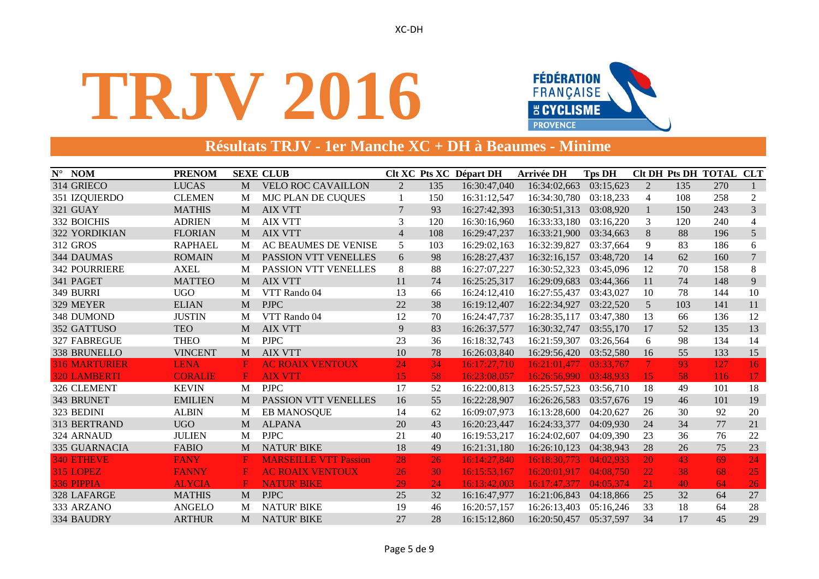

### **Résultats TRJV - 1er Manche XC + DH à Beaumes - Minime**

| $N^{\circ}$ NOM      | <b>PRENOM</b>  |              | <b>SEXE CLUB</b>             |                |     | Clt XC Pts XC Départ DH | Arrivée DH   | <b>Tps DH</b> |                |     | CIt DH Pts DH TOTAL CLT |                |
|----------------------|----------------|--------------|------------------------------|----------------|-----|-------------------------|--------------|---------------|----------------|-----|-------------------------|----------------|
| 314 GRIECO           | <b>LUCAS</b>   | M            | <b>VELO ROC CAVAILLON</b>    | 2              | 135 | 16:30:47.040            | 16:34:02,663 | 03:15.623     | 2              | 135 | 270                     |                |
| 351 IZQUIERDO        | <b>CLEMEN</b>  | M            | MJC PLAN DE CUQUES           |                | 150 | 16:31:12,547            | 16:34:30,780 | 03:18,233     | $\overline{4}$ | 108 | 258                     | 2              |
| 321 GUAY             | <b>MATHIS</b>  | M            | <b>AIX VTT</b>               | $\overline{7}$ | 93  | 16:27:42,393            | 16:30:51,313 | 03:08,920     | 1              | 150 | 243                     | 3              |
| 332 BOICHIS          | <b>ADRIEN</b>  | M            | <b>AIX VTT</b>               | 3              | 120 | 16:30:16,960            | 16:33:33,180 | 03:16,220     | 3              | 120 | 240                     | $\overline{4}$ |
| 322 YORDIKIAN        | <b>FLORIAN</b> | M            | <b>AIX VTT</b>               | 4              | 108 | 16:29:47.237            | 16:33:21,900 | 03:34.663     | 8              | 88  | 196                     | 5              |
| 312 GROS             | <b>RAPHAEL</b> | M            | AC BEAUMES DE VENISE         | 5              | 103 | 16:29:02,163            | 16:32:39,827 | 03:37.664     | 9              | 83  | 186                     | 6              |
| 344 DAUMAS           | <b>ROMAIN</b>  | M            | PASSION VTT VENELLES         | 6              | 98  | 16:28:27,437            | 16:32:16,157 | 03:48.720     | 14             | 62  | 160                     | $\tau$         |
| <b>342 POURRIERE</b> | <b>AXEL</b>    | M            | PASSION VTT VENELLES         | 8              | 88  | 16:27:07,227            | 16:30:52,323 | 03:45,096     | 12             | 70  | 158                     | $8\,$          |
| 341 PAGET            | <b>MATTEO</b>  | M            | <b>AIX VTT</b>               | 11             | 74  | 16:25:25,317            | 16:29:09,683 | 03:44,366     | 11             | 74  | 148                     | 9              |
| 349 BURRI            | <b>UGO</b>     | M            | VTT Rando 04                 | 13             | 66  | 16:24:12,410            | 16:27:55,437 | 03:43,027     | 10             | 78  | 144                     | 10             |
| 329 MEYER            | <b>ELIAN</b>   | M            | <b>PJPC</b>                  | 22             | 38  | 16:19:12,407            | 16:22:34,927 | 03:22,520     | 5              | 103 | 141                     | 11             |
| 348 DUMOND           | <b>JUSTIN</b>  | M            | VTT Rando 04                 | 12             | 70  | 16:24:47,737            | 16:28:35,117 | 03:47.380     | 13             | 66  | 136                     | 12             |
| 352 GATTUSO          | <b>TEO</b>     | M            | <b>AIX VTT</b>               | 9              | 83  | 16:26:37,577            | 16:30:32,747 | 03:55,170     | 17             | 52  | 135                     | 13             |
| 327 FABREGUE         | <b>THEO</b>    | M            | <b>PJPC</b>                  | 23             | 36  | 16:18:32,743            | 16:21:59,307 | 03:26,564     | 6              | 98  | 134                     | 14             |
| 338 BRUNELLO         | <b>VINCENT</b> | M            | <b>AIX VTT</b>               | 10             | 78  | 16:26:03,840            | 16:29:56,420 | 03:52,580     | 16             | 55  | 133                     | 15             |
| <b>316 MARTURIER</b> | <b>LENA</b>    | F            | <b>AC ROAIX VENTOUX</b>      | 24             | 34  | 16:17:27,710            | 16:21:01,477 | 03:33,767     | $\tau$         | 93  | 127                     | 16             |
| <b>320 LAMBERTI</b>  | <b>CORALIE</b> | F.           | <b>AIX VTT</b>               | 15             | 58  | 16:23:08.057            | 16:26:56.990 | 03:48,933     | 15             | 58  | 116                     | 17             |
| 326 CLEMENT          | <b>KEVIN</b>   | M            | <b>PJPC</b>                  | 17             | 52  | 16:22:00,813            | 16:25:57,523 | 03:56.710     | 18             | 49  | 101                     | 18             |
| 343 BRUNET           | <b>EMILIEN</b> | M            | PASSION VTT VENELLES         | 16             | 55  | 16:22:28,907            | 16:26:26,583 | 03:57.676     | 19             | 46  | 101                     | 19             |
| 323 BEDINI           | <b>ALBIN</b>   | M            | <b>EB MANOSQUE</b>           | 14             | 62  | 16:09:07,973            | 16:13:28,600 | 04:20,627     | 26             | 30  | 92                      | 20             |
| 313 BERTRAND         | <b>UGO</b>     | $\mathbf{M}$ | <b>ALPANA</b>                | 20             | 43  | 16:20:23,447            | 16:24:33,377 | 04:09,930     | 24             | 34  | 77                      | 21             |
| 324 ARNAUD           | <b>JULIEN</b>  | M            | <b>PJPC</b>                  | 21             | 40  | 16:19:53,217            | 16:24:02,607 | 04:09,390     | 23             | 36  | 76                      | 22             |
| 335 GUARNACIA        | <b>FABIO</b>   | M            | <b>NATUR' BIKE</b>           | 18             | 49  | 16:21:31,180            | 16:26:10,123 | 04:38,943     | 28             | 26  | 75                      | 23             |
| <b>340 ETHEVE</b>    | <b>FANY</b>    | F            | <b>MARSEILLE VTT Passion</b> | 28             | 26  | 16:14:27,840            | 16:18:30,773 | 04:02.933     | 20             | 43  | 69                      | 24             |
| 315 LOPEZ            | <b>FANNY</b>   | F.           | <b>AC ROAIX VENTOUX</b>      | 26             | 30  | 16:15:53,167            | 16:20:01.917 | 04:08.750     | <b>22</b>      | 38  | 68                      | 25             |
| 336 PIPPIA           | <b>ALYCIA</b>  | $\mathbf{F}$ | <b>NATUR' BIKE</b>           | 29             | 24  | 16:13:42,003            | 16:17:47,377 | 04:05.374     | 21             | 40  | 64                      | 26             |
| 328 LAFARGE          | <b>MATHIS</b>  | $\mathbf{M}$ | <b>PJPC</b>                  | 25             | 32  | 16:16:47,977            | 16:21:06,843 | 04:18,866     | 25             | 32  | 64                      | 27             |
| 333 ARZANO           | <b>ANGELO</b>  | M            | <b>NATUR' BIKE</b>           | 19             | 46  | 16:20:57,157            | 16:26:13,403 | 05:16,246     | 33             | 18  | 64                      | 28             |
| 334 BAUDRY           | <b>ARTHUR</b>  | M            | <b>NATUR' BIKE</b>           | 27             | 28  | 16:15:12.860            | 16:20:50,457 | 05:37,597     | 34             | 17  | 45                      | 29             |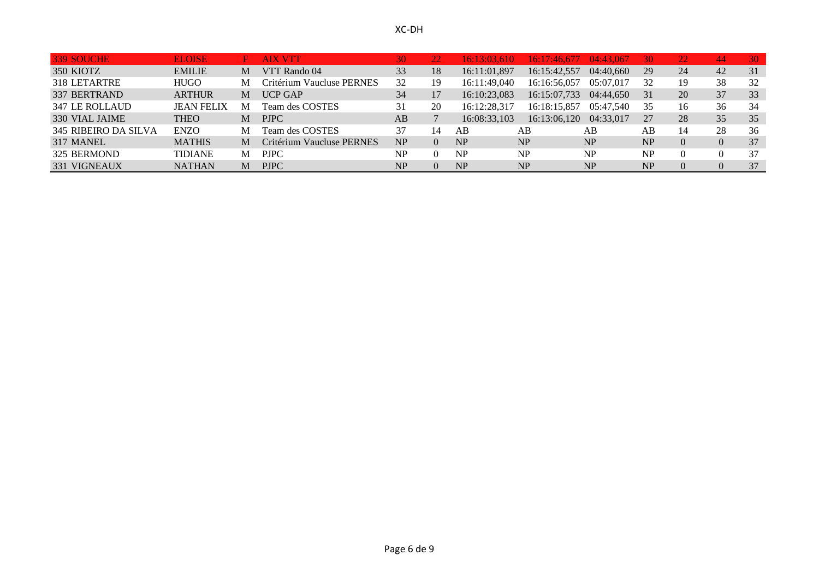| 339 SOUCHE           | <b>ELOISE</b>     |   | <b>AIX VTT</b>            | 30        | 22       | 16:13:03.610 | 16:17:46.677 | 04:43.067 | 30        | 22       | 44       | 30 |
|----------------------|-------------------|---|---------------------------|-----------|----------|--------------|--------------|-----------|-----------|----------|----------|----|
| 350 KIOTZ            | <b>EMILIE</b>     | M | VTT Rando 04              | 33        | 18       | 16:11:01.897 | 16:15:42.557 | 04:40.660 | 29        | 24       | 42       | 31 |
| 318 LETARTRE         | <b>HUGO</b>       | M | Critérium Vaucluse PERNES | 32        | 19       | 16:11:49.040 | 16:16:56.057 | 05:07.017 | 32        | 19       | 38       | 32 |
| 337 BERTRAND         | <b>ARTHUR</b>     | M | <b>UCP GAP</b>            | 34        | 17       | 16:10:23.083 | 16:15:07,733 | 04:44,650 | 31        | 20       | 37       | 33 |
| 347 LE ROLLAUD       | <b>JEAN FELIX</b> |   | Team des COSTES           | 31        | 20       | 16:12:28.317 | 16:18:15.857 | 05:47.540 | 35        | 16       | 36       | 34 |
| 330 VIAL JAIME       | <b>THEO</b>       | M | <b>PJPC</b>               | AB        |          | 16:08:33.103 | 16:13:06,120 | 04:33,017 | 27        | 28       | 35       | 35 |
| 345 RIBEIRO DA SILVA | <b>ENZO</b>       | M | Team des COSTES           | 37        | 14       | AB           | AB           | AB        | AB        | 14       | 28       | 36 |
| 317 MANEL            | <b>MATHIS</b>     | M | Critérium Vaucluse PERNES | NP        | $\Omega$ | <b>NP</b>    | <b>NP</b>    | <b>NP</b> | <b>NP</b> | $\Omega$ | $\Omega$ | 37 |
| 325 BERMOND          | <b>TIDIANE</b>    | M | <b>PJPC</b>               | <b>NP</b> |          | <b>NP</b>    | <b>NP</b>    | <b>NP</b> | <b>NP</b> |          | 0        | 37 |
| 331 VIGNEAUX         | <b>NATHAN</b>     | M | <b>PJPC</b>               | <b>NP</b> | $\Omega$ | <b>NP</b>    | <b>NP</b>    | NP        | <b>NP</b> | $\Omega$ | $\Omega$ | 37 |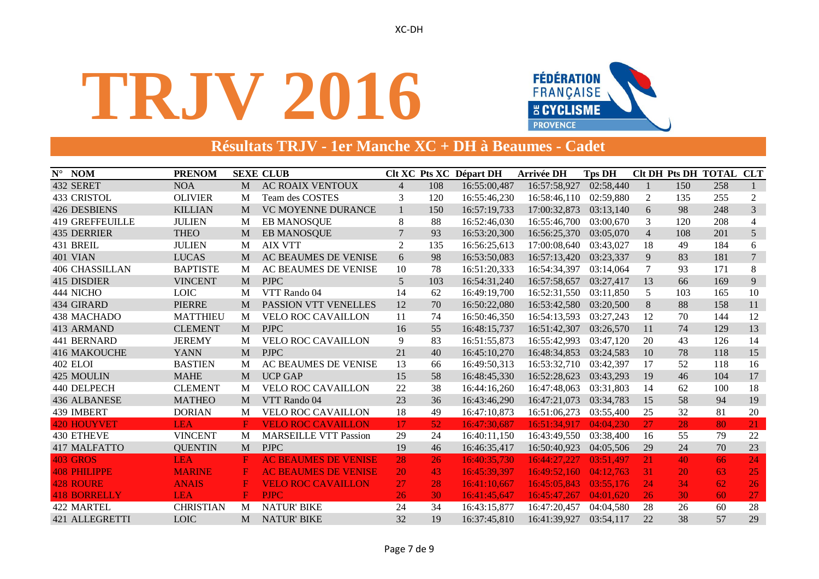

### **Résultats TRJV - 1er Manche XC + DH à Beaumes - Cadet**

| $N^{\circ}$ NOM        | <b>PRENOM</b>    |              | <b>SEXE CLUB</b>             |                |                 | Clt XC Pts XC Départ DH | Arrivée DH             | <b>Tps DH</b> |                |     | CIt DH Pts DH TOTAL CLT |                 |
|------------------------|------------------|--------------|------------------------------|----------------|-----------------|-------------------------|------------------------|---------------|----------------|-----|-------------------------|-----------------|
| 432 SERET              | <b>NOA</b>       | M            | <b>AC ROAIX VENTOUX</b>      | $\overline{4}$ | 108             | 16:55:00,487            | 16:57:58,927           | 02:58,440     | 1              | 150 | 258                     | 1               |
| 433 CRISTOL            | <b>OLIVIER</b>   | M            | Team des COSTES              | 3              | 120             | 16:55:46,230            | 16:58:46,110           | 02:59,880     | 2              | 135 | 255                     | 2               |
| 426 DESBIENS           | <b>KILLIAN</b>   | M            | <b>VC MOYENNE DURANCE</b>    | 1              | 150             | 16:57:19,733            | 17:00:32,873           | 03:13,140     | 6              | 98  | 248                     | 3               |
| <b>419 GREFFEUILLE</b> | <b>JULIEN</b>    | M            | <b>EB MANOSQUE</b>           | 8              | 88              | 16:52:46,030            | 16:55:46,700           | 03:00,670     | 3              | 120 | 208                     | $\overline{4}$  |
| 435 DERRIER            | <b>THEO</b>      | M            | <b>EB MANOSQUE</b>           | $\overline{7}$ | 93              | 16:53:20,300            | 16:56:25,370           | 03:05.070     | $\overline{4}$ | 108 | 201                     | $\overline{5}$  |
| 431 BREIL              | <b>JULIEN</b>    | M            | <b>AIX VTT</b>               | 2              | 135             | 16:56:25,613            | 17:00:08,640           | 03:43,027     | 18             | 49  | 184                     | 6               |
| <b>401 VIAN</b>        | <b>LUCAS</b>     | M            | AC BEAUMES DE VENISE         | 6              | 98              | 16:53:50,083            | 16:57:13,420           | 03:23,337     | 9              | 83  | 181                     | $7\phantom{.0}$ |
| <b>406 CHASSILLAN</b>  | <b>BAPTISTE</b>  | M            | AC BEAUMES DE VENISE         | 10             | 78              | 16:51:20,333            | 16:54:34,397           | 03:14,064     | $\overline{7}$ | 93  | 171                     | 8               |
| 415 DISDIER            | <b>VINCENT</b>   | M            | <b>PJPC</b>                  | 5              | 103             | 16:54:31,240            | 16:57:58,657           | 03:27,417     | 13             | 66  | 169                     | 9               |
| 444 NICHO              | <b>LOIC</b>      | M            | VTT Rando 04                 | 14             | 62              | 16:49:19,700            | 16:52:31,550           | 03:11,850     | 5              | 103 | 165                     | 10              |
| 434 GIRARD             | <b>PIERRE</b>    | M            | PASSION VTT VENELLES         | 12             | 70              | 16:50:22,080            | 16:53:42,580           | 03:20,500     | 8              | 88  | 158                     | 11              |
| 438 MACHADO            | <b>MATTHIEU</b>  | M            | <b>VELO ROC CAVAILLON</b>    | 11             | 74              | 16:50:46,350            | 16:54:13,593           | 03:27,243     | 12             | 70  | 144                     | 12              |
| 413 ARMAND             | <b>CLEMENT</b>   | M            | <b>PJPC</b>                  | 16             | 55              | 16:48:15,737            | 16:51:42,307           | 03:26,570     | 11             | 74  | 129                     | 13              |
| 441 BERNARD            | <b>JEREMY</b>    | M            | <b>VELO ROC CAVAILLON</b>    | 9              | 83              | 16:51:55,873            | 16:55:42,993           | 03:47,120     | 20             | 43  | 126                     | 14              |
| 416 MAKOUCHE           | <b>YANN</b>      | M            | <b>PJPC</b>                  | 21             | 40              | 16:45:10,270            | 16:48:34,853           | 03:24,583     | 10             | 78  | 118                     | 15              |
| <b>402 ELOI</b>        | <b>BASTIEN</b>   | M            | AC BEAUMES DE VENISE         | 13             | 66              | 16:49:50,313            | 16:53:32,710           | 03:42,397     | 17             | 52  | 118                     | 16              |
| 425 MOULIN             | <b>MAHE</b>      | M            | <b>UCP GAP</b>               | 15             | 58              | 16:48:45,330            | 16:52:28,623           | 03:43,293     | 19             | 46  | 104                     | 17              |
| 440 DELPECH            | <b>CLEMENT</b>   | M            | <b>VELO ROC CAVAILLON</b>    | 22             | 38              | 16:44:16,260            | 16:47:48,063           | 03:31.803     | 14             | 62  | 100                     | 18              |
| 436 ALBANESE           | <b>MATHEO</b>    | M            | VTT Rando 04                 | 23             | 36              | 16:43:46,290            | 16:47:21,073           | 03:34,783     | 15             | 58  | 94                      | 19              |
| 439 IMBERT             | <b>DORIAN</b>    | M            | <b>VELO ROC CAVAILLON</b>    | 18             | 49              | 16:47:10,873            | 16:51:06,273           | 03:55,400     | 25             | 32  | 81                      | 20              |
| <b>420 HOUYVET</b>     | <b>LEA</b>       | F            | <b>VELO ROC CAVAILLON</b>    | 17             | 52              | 16:47:30,687            | 16:51:34,917           | 04:04,230     | 27             | 28  | 80                      | 21              |
| 430 ETHEVE             | <b>VINCENT</b>   | M            | <b>MARSEILLE VTT Passion</b> | 29             | 24              | 16:40:11,150            | 16:43:49,550           | 03:38,400     | 16             | 55  | 79                      | 22              |
| 417 MALFATTO           | <b>QUENTIN</b>   | M            | <b>PJPC</b>                  | 19             | 46              | 16:46:35,417            | 16:50:40,923           | 04:05,506     | 29             | 24  | 70                      | 23              |
| <b>403 GROS</b>        | <b>LEA</b>       | F            | <b>AC BEAUMES DE VENISE</b>  | 28             | 26              | 16:40:35,730            | 16:44:27,227           | 03:51,497     | 21             | 40  | 66                      | 24              |
| <b>408 PHILIPPE</b>    | <b>MARINE</b>    | F            | <b>AC BEAUMES DE VENISE</b>  | <b>20</b>      | 43              | 16:45:39,397            | 16:49:52,160 04:12,763 |               | 31             | 20  | 63                      | 25              |
| <b>428 ROURE</b>       | <b>ANAIS</b>     | F.           | <b>VELO ROC CAVAILLON</b>    | 27             | 28              | 16:41:10,667            | 16:45:05,843           | 03:55,176     | 24             | 34  | 62                      | 26              |
| <b>418 BORRELLY</b>    | <b>LEA</b>       | $\mathbf{F}$ | <b>PJPC</b>                  | 26             | 30 <sup>°</sup> | 16:41:45,647            | 16:45:47.267           | 04:01,620     | 26             | 30  | 60                      | 27              |
| 422 MARTEL             | <b>CHRISTIAN</b> | M            | <b>NATUR' BIKE</b>           | 24             | 34              | 16:43:15,877            | 16:47:20,457           | 04:04,580     | 28             | 26  | 60                      | 28              |
| 421 ALLEGRETTI         | <b>LOIC</b>      | M            | <b>NATUR' BIKE</b>           | 32             | 19              | 16:37:45,810            | 16:41:39,927 03:54,117 |               | 22             | 38  | 57                      | 29              |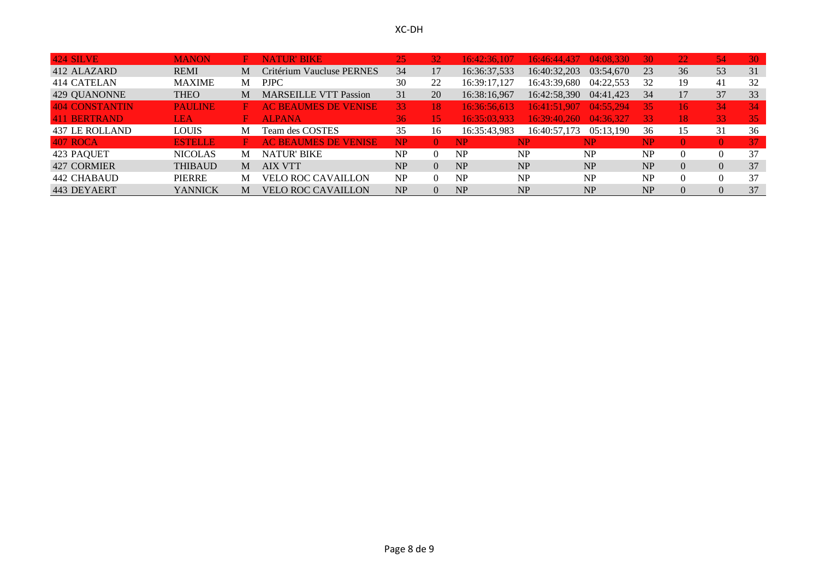| 424 SILVE       | <b>MANON</b>   |   | <b>NATUR' BIKE</b>           | 25        | 32       | 16:42:36.107 | 16:46:44.437   | 04:08.330 | 30        | 22       | 54       | 30 |
|-----------------|----------------|---|------------------------------|-----------|----------|--------------|----------------|-----------|-----------|----------|----------|----|
| 412 ALAZARD     | <b>REMI</b>    | M | Critérium Vaucluse PERNES    | 34        | 17       | 16:36:37,533 | 16:40:32.203   | 03:54.670 | 23        | 36       | 53       | 31 |
| 414 CATELAN     | <b>MAXIME</b>  | M | <b>PJPC</b>                  | 30        | 22       | 16:39:17,127 | 16:43:39.680   | 04:22,553 | 32        | 19       | 41       | 32 |
| 429 QUANONNE    | <b>THEO</b>    | М | <b>MARSEILLE VTT Passion</b> | 31        | 20       | 16:38:16,967 | 16:42:58,390   | 04:41,423 | 34        | 17       | 37       | 33 |
| 404 CONSTANTIN  | <b>PAULINE</b> |   | <b>AC BEAUMES DE VENISE</b>  | 33        | 18.      | 16:36:56.613 | 16:41:51.907   | 04:55.294 | 35        | 16       | 34       | 34 |
| 411 BERTRAND    | LEA            |   | <b>ALPANA</b>                | 36        | 15       | 16:35:03.933 | 16:39:40.260   | 04:36.327 | 33        | 18       | 33       | 35 |
| 437 LE ROLLAND  | <b>LOUIS</b>   | М | Team des COSTES              | 35        | 16       | 16:35:43.983 | 16:40:57.173   | 05:13.190 | 36        | 15       | 31       | 36 |
| <b>407 ROCA</b> | <b>ESTELLE</b> |   | <b>AC BEAUMES DE VENISE</b>  | <b>NP</b> | $\Omega$ | <b>NP</b>    | N <sub>P</sub> | <b>NP</b> | <b>NP</b> | $\Omega$ | 0        | 37 |
| 423 PAQUET      | <b>NICOLAS</b> | M | <b>NATUR' BIKE</b>           | <b>NP</b> | $\Omega$ | <b>NP</b>    | <b>NP</b>      | <b>NP</b> | <b>NP</b> |          | 0        | 37 |
| 427 CORMIER     | <b>THIBAUD</b> | M | <b>AIX VTT</b>               | <b>NP</b> | $\Omega$ | <b>NP</b>    | <b>NP</b>      | NP        | <b>NP</b> | $\Omega$ | $\Omega$ | 37 |
| 442 CHABAUD     | PIERRE         | М | <b>VELO ROC CAVAILLON</b>    | <b>NP</b> | $\Omega$ | <b>NP</b>    | <b>NP</b>      | <b>NP</b> | <b>NP</b> |          | 0        | 37 |
| 443 DEYAERT     | <b>YANNICK</b> | M | <b>VELO ROC CAVAILLON</b>    | <b>NP</b> | $\Omega$ | <b>NP</b>    | <b>NP</b>      | NP        | <b>NP</b> |          | $\Omega$ | 37 |